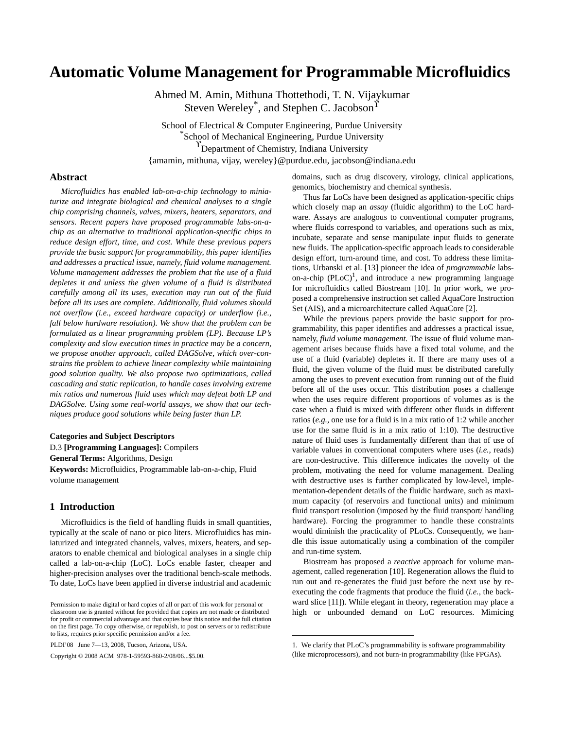# **Automatic Volume Management for Programmable Microfluidics**

Ahmed M. Amin, Mithuna Thottethodi, T. N. Vijaykumar Steven Wereley<sup>\*</sup>, and Stephen C. Jacobson<sup>1</sup>

School of Electrical & Computer Engineering, Purdue University<br>
<sup>\*</sup>School of Mechanical Engineering, Purdue University<br>
<sup>T</sup>Department of Chemistry, Indiana University {amamin, mithuna, vijay, wereley}@purdue.edu, jacobson@indiana.edu

# **Abstract**

*Microfluidics has enabled lab-on-a-chip technology to miniaturize and integrate biological and chemical analyses to a single chip comprising channels, valves, mixers, heaters, separators, and sensors. Recent papers have proposed programmable labs-on-achip as an alternative to traditional application-specific chips to reduce design effort, time, and cost. While these previous papers provide the basic support for programmability, this paper identifies and addresses a practical issue, namely, fluid volume management. Volume management addresses the problem that the use of a fluid depletes it and unless the given volume of a fluid is distributed carefully among all its uses, execution may run out of the fluid before all its uses are complete. Additionally, fluid volumes should not overflow (i.e., exceed hardware capacity) or underflow (i.e., fall below hardware resolution). We show that the problem can be formulated as a linear programming problem (LP). Because LP's complexity and slow execution times in practice may be a concern, we propose another approach, called DAGSolve, which over-constrains the problem to achieve linear complexity while maintaining good solution quality. We also propose two optimizations, called cascading and static replication, to handle cases involving extreme mix ratios and numerous fluid uses which may defeat both LP and DAGSolve. Using some real-world assays, we show that our techniques produce good solutions while being faster than LP.* 

**Categories and Subject Descriptors**

D.3 **[Programming Languages]:** Compilers

**General Terms:** Algorithms, Design

**Keywords:** Microfluidics, Programmable lab-on-a-chip, Fluid volume management

# **1 Introduction**

Microfluidics is the field of handling fluids in small quantities, typically at the scale of nano or pico liters. Microfluidics has miniaturized and integrated channels, valves, mixers, heaters, and separators to enable chemical and biological analyses in a single chip called a lab-on-a-chip (LoC). LoCs enable faster, cheaper and higher-precision analyses over the traditional bench-scale methods. To date, LoCs have been applied in diverse industrial and academic

PLDI'08 June 7—13, 2008, Tucson, Arizona, USA.

Copyright © 2008 ACM 978-1-59593-860-2/08/06...\$5.00.

domains, such as drug discovery, virology, clinical applications, genomics, biochemistry and chemical synthesis.

Thus far LoCs have been designed as application-specific chips which closely map an *assay* (fluidic algorithm) to the LoC hardware. Assays are analogous to conventional computer programs, where fluids correspond to variables, and operations such as mix, incubate, separate and sense manipulate input fluids to generate new fluids. The application-specific approach leads to considerable design effort, turn-around time, and cost. To address these limitations, Urbanski et al. [13] pioneer the idea of *programmable* labson-a-chip  $(PLoC)^1$ , and introduce a new programming language for microfluidics called Biostream [10]. In prior work, we proposed a comprehensive instruction set called AquaCore Instruction Set (AIS), and a microarchitecture called AquaCore [2].

While the previous papers provide the basic support for programmability, this paper identifies and addresses a practical issue, namely, *fluid volume management*. The issue of fluid volume management arises because fluids have a fixed total volume, and the use of a fluid (variable) depletes it. If there are many uses of a fluid, the given volume of the fluid must be distributed carefully among the uses to prevent execution from running out of the fluid before all of the uses occur. This distribution poses a challenge when the uses require different proportions of volumes as is the case when a fluid is mixed with different other fluids in different ratios (*e.g.,* one use for a fluid is in a mix ratio of 1:2 while another use for the same fluid is in a mix ratio of 1:10). The destructive nature of fluid uses is fundamentally different than that of use of variable values in conventional computers where uses (*i.e.,* reads) are non-destructive. This difference indicates the novelty of the problem, motivating the need for volume management. Dealing with destructive uses is further complicated by low-level, implementation-dependent details of the fluidic hardware, such as maximum capacity (of reservoirs and functional units) and minimum fluid transport resolution (imposed by the fluid transport/ handling hardware). Forcing the programmer to handle these constraints would diminish the practicality of PLoCs. Consequently, we handle this issue automatically using a combination of the compiler and run-time system.

Biostream has proposed a *reactive* approach for volume management, called regeneration [10]. Regeneration allows the fluid to run out and re-generates the fluid just before the next use by reexecuting the code fragments that produce the fluid (*i.e.,* the backward slice [11]). While elegant in theory, regeneration may place a high or unbounded demand on LoC resources. Mimicing

Permission to make digital or hard copies of all or part of this work for personal or classroom use is granted without fee provided that copies are not made or distributed for profit or commercial advantage and that copies bear this notice and the full citation on the first page. To copy otherwise, or republish, to post on servers or to redistribute to lists, requires prior specific permission and/or a fee.

<sup>1.</sup> We clarify that PLoC's programmability is software programmability (like microprocessors), and not burn-in programmability (like FPGAs).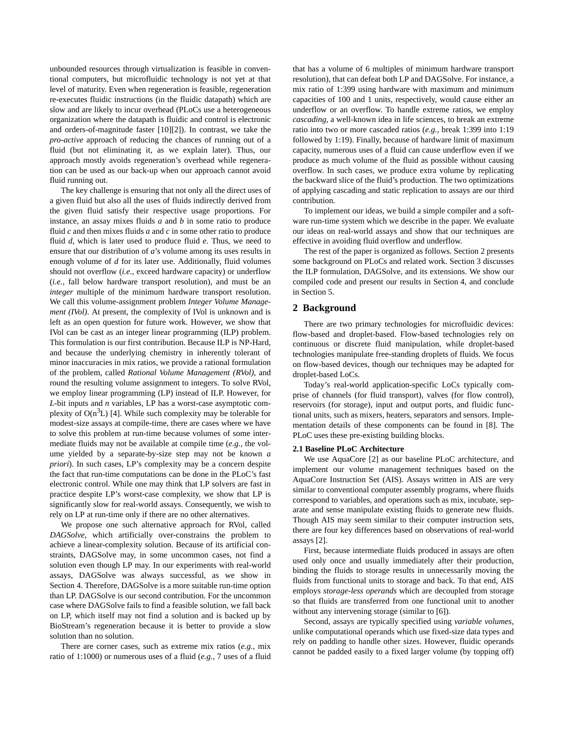unbounded resources through virtualization is feasible in conventional computers, but microfluidic technology is not yet at that level of maturity. Even when regeneration is feasible, regeneration re-executes fluidic instructions (in the fluidic datapath) which are slow and are likely to incur overhead (PLoCs use a heterogeneous organization where the datapath is fluidic and control is electronic and orders-of-magnitude faster [10][2]). In contrast, we take the *pro-active* approach of reducing the chances of running out of a fluid (but not eliminating it, as we explain later). Thus, our approach mostly avoids regeneration's overhead while regeneration can be used as our back-up when our approach cannot avoid fluid running out.

The key challenge is ensuring that not only all the direct uses of a given fluid but also all the uses of fluids indirectly derived from the given fluid satisfy their respective usage proportions. For instance, an assay mixes fluids *a* and *b* in some ratio to produce fluid *c* and then mixes fluids *a* and *c* in some other ratio to produce fluid *d*, which is later used to produce fluid *e*. Thus, we need to ensure that our distribution of *a*'s volume among its uses results in enough volume of *d* for its later use. Additionally, fluid volumes should not overflow (*i.e.,* exceed hardware capacity) or underflow (*i.e.,* fall below hardware transport resolution), and must be an *integer* multiple of the minimum hardware transport resolution. We call this volume-assignment problem *Integer Volume Management (IVol)*. At present, the complexity of IVol is unknown and is left as an open question for future work. However, we show that IVol can be cast as an integer linear programming (ILP) problem. This formulation is our first contribution. Because ILP is NP-Hard, and because the underlying chemistry in inherently tolerant of minor inaccuracies in mix ratios, we provide a rational formulation of the problem, called *Rational Volume Management (RVol)*, and round the resulting volume assignment to integers. To solve RVol, we employ linear programming (LP) instead of ILP. However, for *L*-bit inputs and *n* variables, LP has a worst-case asymptotic complexity of  $O(n^3L)$  [4]. While such complexity may be tolerable for modest-size assays at compile-time, there are cases where we have to solve this problem at run-time because volumes of some intermediate fluids may not be available at compile time (*e.g.,* the volume yielded by a separate-by-size step may not be known *a priori*). In such cases, LP's complexity may be a concern despite the fact that run-time computations can be done in the PLoC's fast electronic control. While one may think that LP solvers are fast in practice despite LP's worst-case complexity, we show that LP is significantly slow for real-world assays. Consequently, we wish to rely on LP at run-time only if there are no other alternatives.

We propose one such alternative approach for RVol, called *DAGSolve*, which artificially over-constrains the problem to achieve a linear-complexity solution. Because of its artificial constraints, DAGSolve may, in some uncommon cases, not find a solution even though LP may. In our experiments with real-world assays, DAGSolve was always successful, as we show in Section 4. Therefore, DAGSolve is a more suitable run-time option than LP. DAGSolve is our second contribution. For the uncommon case where DAGSolve fails to find a feasible solution, we fall back on LP, which itself may not find a solution and is backed up by BioStream's regeneration because it is better to provide a slow solution than no solution.

There are corner cases, such as extreme mix ratios (*e.g.,* mix ratio of 1:1000) or numerous uses of a fluid (*e.g.,* 7 uses of a fluid that has a volume of 6 multiples of minimum hardware transport resolution), that can defeat both LP and DAGSolve. For instance, a mix ratio of 1:399 using hardware with maximum and minimum capacities of 100 and 1 units, respectively, would cause either an underflow or an overflow. To handle extreme ratios, we employ *cascading,* a well-known idea in life sciences, to break an extreme ratio into two or more cascaded ratios (*e.g.,* break 1:399 into 1:19 followed by 1:19). Finally, because of hardware limit of maximum capacity, numerous uses of a fluid can cause underflow even if we produce as much volume of the fluid as possible without causing overflow. In such cases, we produce extra volume by replicating the backward slice of the fluid's production. The two optimizations of applying cascading and static replication to assays are our third contribution.

To implement our ideas, we build a simple compiler and a software run-time system which we describe in the paper. We evaluate our ideas on real-world assays and show that our techniques are effective in avoiding fluid overflow and underflow.

The rest of the paper is organized as follows. Section 2 presents some background on PLoCs and related work. Section 3 discusses the ILP formulation, DAGSolve, and its extensions. We show our compiled code and present our results in Section 4, and conclude in Section 5.

# **2 Background**

There are two primary technologies for microfluidic devices: flow-based and droplet-based. Flow-based technologies rely on continuous or discrete fluid manipulation, while droplet-based technologies manipulate free-standing droplets of fluids. We focus on flow-based devices, though our techniques may be adapted for droplet-based LoCs.

Today's real-world application-specific LoCs typically comprise of channels (for fluid transport), valves (for flow control), reservoirs (for storage), input and output ports, and fluidic functional units, such as mixers, heaters, separators and sensors. Implementation details of these components can be found in [8]. The PLoC uses these pre-existing building blocks.

# **2.1 Baseline PLoC Architecture**

We use AquaCore [2] as our baseline PLoC architecture, and implement our volume management techniques based on the AquaCore Instruction Set (AIS). Assays written in AIS are very similar to conventional computer assembly programs, where fluids correspond to variables, and operations such as mix, incubate, separate and sense manipulate existing fluids to generate new fluids. Though AIS may seem similar to their computer instruction sets, there are four key differences based on observations of real-world assays [2].

First, because intermediate fluids produced in assays are often used only once and usually immediately after their production, binding the fluids to storage results in unnecessarily moving the fluids from functional units to storage and back. To that end, AIS employs *storage-less operands* which are decoupled from storage so that fluids are transferred from one functional unit to another without any intervening storage (similar to [6]).

Second, assays are typically specified using *variable volumes*, unlike computational operands which use fixed-size data types and rely on padding to handle other sizes. However, fluidic operands cannot be padded easily to a fixed larger volume (by topping off)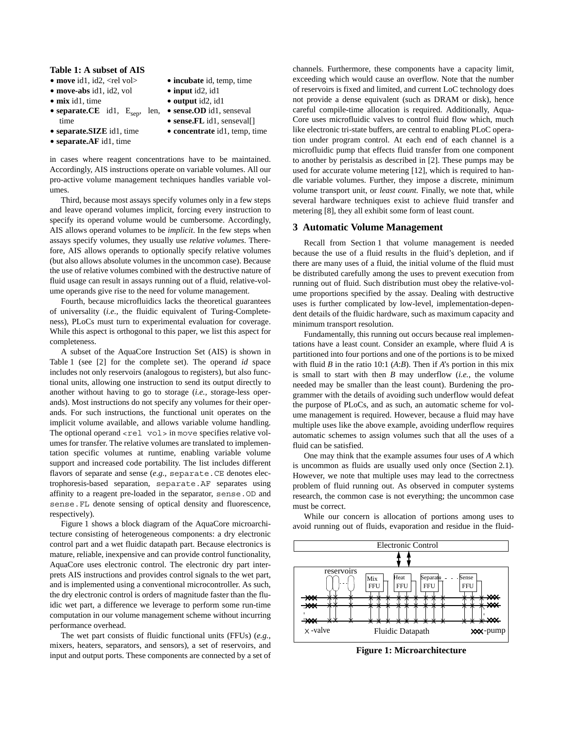## **Table 1: A subset of AIS**

- **move** id1, id2, <rel vol>
- **• move-abs** id1, id2, vol
- **• mix** id1, time
- **separate.CE** id1, E<sub>sep</sub>, len, time
- **• separate.SIZE** id1, time
- **• sense.OD** id1, senseval **• sense.FL** id1, senseval[]

**• incubate** id, temp, time

- **• separate.AF** id1, time
	-

**• input** id2, id1 **• output** id2, id1

in cases where reagent concentrations have to be maintained. Accordingly, AIS instructions operate on variable volumes. All our pro-active volume management techniques handles variable volumes.

Third, because most assays specify volumes only in a few steps and leave operand volumes implicit, forcing every instruction to specify its operand volume would be cumbersome. Accordingly, AIS allows operand volumes to be *implicit*. In the few steps when assays specify volumes, they usually use *relative volumes*. Therefore, AIS allows operands to optionally specify relative volumes (but also allows absolute volumes in the uncommon case). Because the use of relative volumes combined with the destructive nature of fluid usage can result in assays running out of a fluid, relative-volume operands give rise to the need for volume management.

Fourth, because microfluidics lacks the theoretical guarantees of universality (*i.e.,* the fluidic equivalent of Turing-Completeness), PLoCs must turn to experimental evaluation for coverage. While this aspect is orthogonal to this paper, we list this aspect for completeness.

A subset of the AquaCore Instruction Set (AIS) is shown in Table 1 (see [2] for the complete set). The operand *id* space includes not only reservoirs (analogous to registers), but also functional units, allowing one instruction to send its output directly to another without having to go to storage (*i.e.,* storage-less operands). Most instructions do not specify any volumes for their operands. For such instructions, the functional unit operates on the implicit volume available, and allows variable volume handling. The optional operand  $\langle$  rel vol > in move specifies relative volumes for transfer. The relative volumes are translated to implementation specific volumes at runtime, enabling variable volume support and increased code portability. The list includes different flavors of separate and sense (e.g., separate.CE denotes electrophoresis-based separation, separate.AF separates using affinity to a reagent pre-loaded in the separator, sense.OD and sense.FL denote sensing of optical density and fluorescence, respectively).

Figure 1 shows a block diagram of the AquaCore microarchitecture consisting of heterogeneous components: a dry electronic control part and a wet fluidic datapath part. Because electronics is mature, reliable, inexpensive and can provide control functionality, AquaCore uses electronic control. The electronic dry part interprets AIS instructions and provides control signals to the wet part, and is implemented using a conventional microcontroller. As such, the dry electronic control is orders of magnitude faster than the fluidic wet part, a difference we leverage to perform some run-time computation in our volume management scheme without incurring performance overhead.

The wet part consists of fluidic functional units (FFUs) (*e.g.,* mixers, heaters, separators, and sensors), a set of reservoirs, and input and output ports. These components are connected by a set of channels. Furthermore, these components have a capacity limit, exceeding which would cause an overflow. Note that the number of reservoirs is fixed and limited, and current LoC technology does not provide a dense equivalent (such as DRAM or disk), hence careful compile-time allocation is required. Additionally, Aqua-Core uses microfluidic valves to control fluid flow which, much like electronic tri-state buffers, are central to enabling PLoC operation under program control. At each end of each channel is a microfluidic pump that effects fluid transfer from one component to another by peristalsis as described in [2]. These pumps may be used for accurate volume metering [12], which is required to handle variable volumes. Further, they impose a discrete, minimum volume transport unit, or *least count*. Finally, we note that, while several hardware techniques exist to achieve fluid transfer and metering [8], they all exhibit some form of least count.

## **3 Automatic Volume Management**

Recall from Section 1 that volume management is needed because the use of a fluid results in the fluid's depletion, and if there are many uses of a fluid, the initial volume of the fluid must be distributed carefully among the uses to prevent execution from running out of fluid. Such distribution must obey the relative-volume proportions specified by the assay. Dealing with destructive uses is further complicated by low-level, implementation-dependent details of the fluidic hardware, such as maximum capacity and minimum transport resolution.

Fundamentally, this running out occurs because real implementations have a least count. Consider an example, where fluid *A* is partitioned into four portions and one of the portions is to be mixed with fluid *B* in the ratio 10:1 ( $A:B$ ). Then if  $A$ 's portion in this mix is small to start with then *B* may underflow (*i.e.,* the volume needed may be smaller than the least count). Burdening the programmer with the details of avoiding such underflow would defeat the purpose of PLoCs, and as such, an automatic scheme for volume management is required. However, because a fluid may have multiple uses like the above example, avoiding underflow requires automatic schemes to assign volumes such that all the uses of a fluid can be satisfied.

One may think that the example assumes four uses of *A* which is uncommon as fluids are usually used only once (Section 2.1). However, we note that multiple uses may lead to the correctness problem of fluid running out. As observed in computer systems research, the common case is not everything; the uncommon case must be correct.

While our concern is allocation of portions among uses to avoid running out of fluids, evaporation and residue in the fluid-



**Figure 1: Microarchitecture**

- 
- **• concentrate** id1, temp, time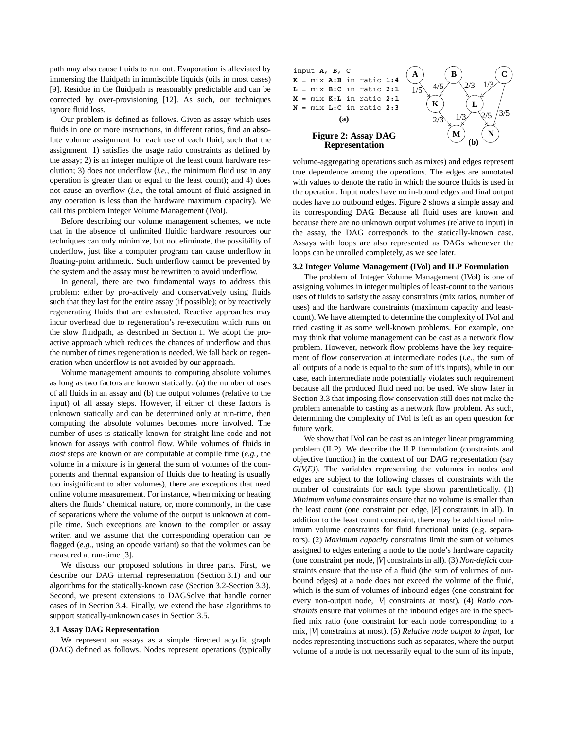path may also cause fluids to run out. Evaporation is alleviated by immersing the fluidpath in immiscible liquids (oils in most cases) [9]. Residue in the fluidpath is reasonably predictable and can be corrected by over-provisioning [12]. As such, our techniques ignore fluid loss.

Our problem is defined as follows. Given as assay which uses fluids in one or more instructions, in different ratios, find an absolute volume assignment for each use of each fluid, such that the assignment: 1) satisfies the usage ratio constraints as defined by the assay; 2) is an integer multiple of the least count hardware resolution; 3) does not underflow (*i.e.,* the minimum fluid use in any operation is greater than or equal to the least count); and 4) does not cause an overflow (*i.e.,* the total amount of fluid assigned in any operation is less than the hardware maximum capacity). We call this problem Integer Volume Management (IVol).

Before describing our volume management schemes, we note that in the absence of unlimited fluidic hardware resources our techniques can only minimize, but not eliminate, the possibility of underflow, just like a computer program can cause underflow in floating-point arithmetic. Such underflow cannot be prevented by the system and the assay must be rewritten to avoid underflow.

In general, there are two fundamental ways to address this problem: either by pro-actively and conservatively using fluids such that they last for the entire assay (if possible); or by reactively regenerating fluids that are exhausted. Reactive approaches may incur overhead due to regeneration's re-execution which runs on the slow fluidpath, as described in Section 1. We adopt the proactive approach which reduces the chances of underflow and thus the number of times regeneration is needed. We fall back on regeneration when underflow is not avoided by our approach.

Volume management amounts to computing absolute volumes as long as two factors are known statically: (a) the number of uses of all fluids in an assay and (b) the output volumes (relative to the input) of all assay steps. However, if either of these factors is unknown statically and can be determined only at run-time, then computing the absolute volumes becomes more involved. The number of uses is statically known for straight line code and not known for assays with control flow. While volumes of fluids in *most* steps are known or are computable at compile time (*e.g.,* the volume in a mixture is in general the sum of volumes of the components and thermal expansion of fluids due to heating is usually too insignificant to alter volumes), there are exceptions that need online volume measurement. For instance, when mixing or heating alters the fluids' chemical nature, or, more commonly, in the case of separations where the volume of the output is unknown at compile time. Such exceptions are known to the compiler or assay writer, and we assume that the corresponding operation can be flagged (*e.g.,* using an opcode variant) so that the volumes can be measured at run-time [3].

We discuss our proposed solutions in three parts. First, we describe our DAG internal representation (Section 3.1) and our algorithms for the statically-known case (Section 3.2-Section 3.3). Second, we present extensions to DAGSolve that handle corner cases of in Section 3.4. Finally, we extend the base algorithms to support statically-unknown cases in Section 3.5.

#### **3.1 Assay DAG Representation**

We represent an assays as a simple directed acyclic graph (DAG) defined as follows. Nodes represent operations (typically



volume-aggregating operations such as mixes) and edges represent true dependence among the operations. The edges are annotated with values to denote the ratio in which the source fluids is used in the operation. Input nodes have no in-bound edges and final output nodes have no outbound edges. Figure 2 shows a simple assay and its corresponding DAG. Because all fluid uses are known and because there are no unknown output volumes (relative to input) in the assay, the DAG corresponds to the statically-known case. Assays with loops are also represented as DAGs whenever the loops can be unrolled completely, as we see later.

#### **3.2 Integer Volume Management (IVol) and ILP Formulation**

The problem of Integer Volume Management (IVol) is one of assigning volumes in integer multiples of least-count to the various uses of fluids to satisfy the assay constraints (mix ratios, number of uses) and the hardware constraints (maximum capacity and leastcount). We have attempted to determine the complexity of IVol and tried casting it as some well-known problems. For example, one may think that volume management can be cast as a network flow problem. However, network flow problems have the key requirement of flow conservation at intermediate nodes (*i.e.,* the sum of all outputs of a node is equal to the sum of it's inputs), while in our case, each intermediate node potentially violates such requirement because all the produced fluid need not be used. We show later in Section 3.3 that imposing flow conservation still does not make the problem amenable to casting as a network flow problem. As such, determining the complexity of IVol is left as an open question for future work.

We show that IVol can be cast as an integer linear programming problem (ILP). We describe the ILP formulation (constraints and objective function) in the context of our DAG representation (say *G(V,E)*). The variables representing the volumes in nodes and edges are subject to the following classes of constraints with the number of constraints for each type shown parenthetically. (1) *Minimum volume* constraints ensure that no volume is smaller than the least count (one constraint per edge, |*E*| constraints in all). In addition to the least count constraint, there may be additional minimum volume constraints for fluid functional units (e.g. separators). (2) *Maximum capacity* constraints limit the sum of volumes assigned to edges entering a node to the node's hardware capacity (one constraint per node, |*V*| constraints in all). (3) *Non-deficit* constraints ensure that the use of a fluid (the sum of volumes of outbound edges) at a node does not exceed the volume of the fluid, which is the sum of volumes of inbound edges (one constraint for every non-output node, |*V*| constraints at most). (4) *Ratio constraints* ensure that volumes of the inbound edges are in the specified mix ratio (one constraint for each node corresponding to a mix, |*V*| constraints at most). (5) *Relative node output to input*, for nodes representing instructions such as separates, where the output volume of a node is not necessarily equal to the sum of its inputs,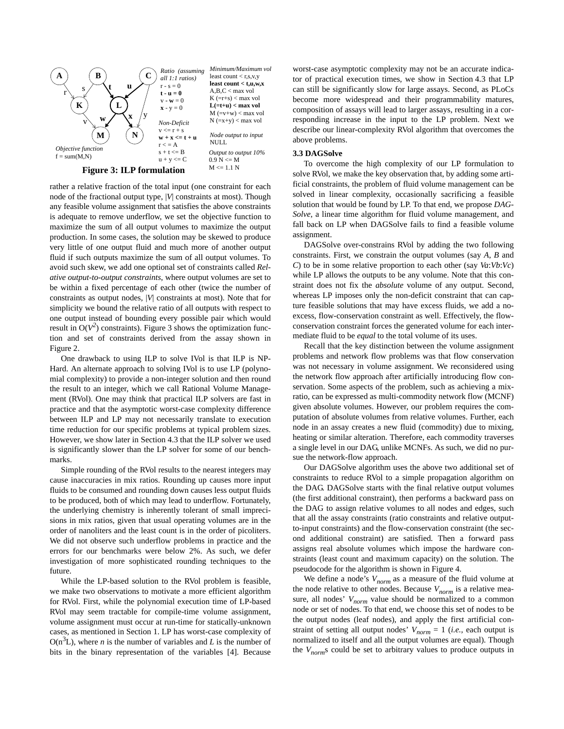

rather a relative fraction of the total input (one constraint for each node of the fractional output type, |*V*| constraints at most). Though any feasible volume assignment that satisfies the above constraints is adequate to remove underflow, we set the objective function to maximize the sum of all output volumes to maximize the output production. In some cases, the solution may be skewed to produce very little of one output fluid and much more of another output fluid if such outputs maximize the sum of all output volumes. To avoid such skew, we add one optional set of constraints called *Relative output-to-output constraints*, where output volumes are set to be within a fixed percentage of each other (twice the number of constraints as output nodes, |*V*| constraints at most). Note that for simplicity we bound the relative ratio of all outputs with respect to one output instead of bounding every possible pair which would result in  $O(V^2)$  constraints). Figure 3 shows the optimization function and set of constraints derived from the assay shown in Figure 2.

One drawback to using ILP to solve IVol is that ILP is NP-Hard. An alternate approach to solving IVol is to use LP (polynomial complexity) to provide a non-integer solution and then round the result to an integer, which we call Rational Volume Management (RVol). One may think that practical ILP solvers are fast in practice and that the asymptotic worst-case complexity difference between ILP and LP may not necessarily translate to execution time reduction for our specific problems at typical problem sizes. However, we show later in Section 4.3 that the ILP solver we used is significantly slower than the LP solver for some of our benchmarks.

Simple rounding of the RVol results to the nearest integers may cause inaccuracies in mix ratios. Rounding up causes more input fluids to be consumed and rounding down causes less output fluids to be produced, both of which may lead to underflow. Fortunately, the underlying chemistry is inherently tolerant of small imprecisions in mix ratios, given that usual operating volumes are in the order of nanoliters and the least count is in the order of picoliters. We did not observe such underflow problems in practice and the errors for our benchmarks were below 2%. As such, we defer investigation of more sophisticated rounding techniques to the future.

While the LP-based solution to the RVol problem is feasible, we make two observations to motivate a more efficient algorithm for RVol. First, while the polynomial execution time of LP-based RVol may seem tractable for compile-time volume assignment, volume assignment must occur at run-time for statically-unknown cases, as mentioned in Section 1. LP has worst-case complexity of  $O(n^3L)$ , where *n* is the number of variables and *L* is the number of bits in the binary representation of the variables [4]. Because

worst-case asymptotic complexity may not be an accurate indicator of practical execution times, we show in Section 4.3 that LP can still be significantly slow for large assays. Second, as PLoCs become more widespread and their programmability matures, composition of assays will lead to larger assays, resulting in a corresponding increase in the input to the LP problem. Next we describe our linear-complexity RVol algorithm that overcomes the above problems.

#### **3.3 DAGSolve**

To overcome the high complexity of our LP formulation to solve RVol, we make the key observation that, by adding some artificial constraints, the problem of fluid volume management can be solved in linear complexity, occasionally sacrificing a feasible solution that would be found by LP. To that end, we propose *DAG-Solve*, a linear time algorithm for fluid volume management, and fall back on LP when DAGSolve fails to find a feasible volume assignment.

DAGSolve over-constrains RVol by adding the two following constraints. First, we constrain the output volumes (say *A*, *B* and *C*) to be in some relative proportion to each other (say *Va*:*Vb*:*Vc*) while LP allows the outputs to be any volume. Note that this constraint does not fix the *absolute* volume of any output. Second, whereas LP imposes only the non-deficit constraint that can capture feasible solutions that may have excess fluids, we add a noexcess, flow-conservation constraint as well. Effectively, the flowconservation constraint forces the generated volume for each intermediate fluid to be *equal* to the total volume of its uses.

Recall that the key distinction between the volume assignment problems and network flow problems was that flow conservation was not necessary in volume assignment. We reconsidered using the network flow approach after artificially introducing flow conservation. Some aspects of the problem, such as achieving a mixratio, can be expressed as multi-commodity network flow (MCNF) given absolute volumes. However, our problem requires the computation of absolute volumes from relative volumes. Further, each node in an assay creates a new fluid (commodity) due to mixing, heating or similar alteration. Therefore, each commodity traverses a single level in our DAG, unlike MCNFs. As such, we did no pursue the network-flow approach.

Our DAGSolve algorithm uses the above two additional set of constraints to reduce RVol to a simple propagation algorithm on the DAG. DAGSolve starts with the final relative output volumes (the first additional constraint), then performs a backward pass on the DAG to assign relative volumes to all nodes and edges, such that all the assay constraints (ratio constraints and relative outputto-input constraints) and the flow-conservation constraint (the second additional constraint) are satisfied. Then a forward pass assigns real absolute volumes which impose the hardware constraints (least count and maximum capacity) on the solution. The pseudocode for the algorithm is shown in Figure 4.

We define a node's  $V_{norm}$  as a measure of the fluid volume at the node relative to other nodes. Because  $V_{norm}$  is a relative measure, all nodes'  $V_{norm}$  value should be normalized to a common node or set of nodes. To that end, we choose this set of nodes to be the output nodes (leaf nodes), and apply the first artificial constraint of setting all output nodes'  $V_{norm} = 1$  (*i.e.*, each output is normalized to itself and all the output volumes are equal). Though the *Vnorm*s could be set to arbitrary values to produce outputs in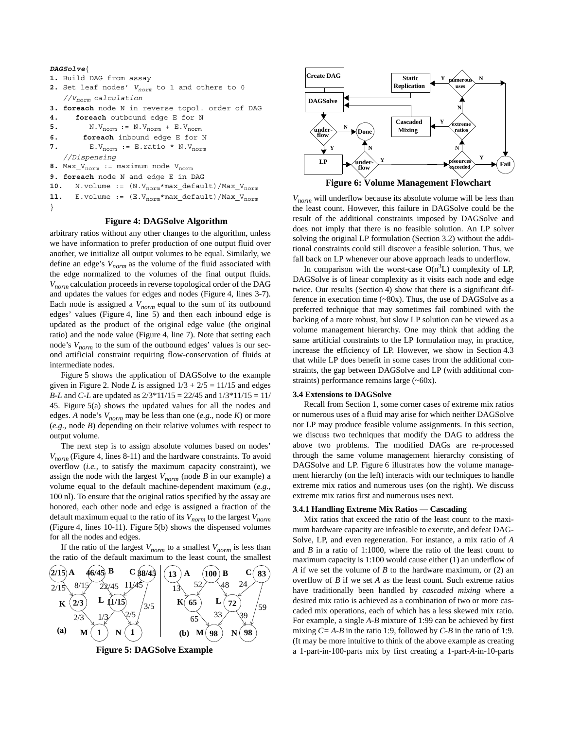# *DAGSolve*{

**1.** Build DAG from assay

```
2. Set leaf nodes' Vnorm to 1 and others to 0
   //Vnorm calculation
```
- **3. foreach** node N in reverse topol. order of DAG
- **4. foreach** outbound edge E for N
- $5.$   $N.V_{norm}$  :=  $N.V_{norm}$  +  $E.V_{norm}$
- **6. foreach** inbound edge E for N
- **7.**  $E.V_{norm} := E.ratio * N.V_{norm}$ *//Dispensing*
- 8. Max\_V<sub>norm</sub> := maximum node V<sub>norm</sub>
- **9. foreach** node N and edge E in DAG
- 10.  $N.$  volume  $:= (N.V_{norm} * max\_default) / Max_V_{norm}$
- 11. E.volume :=  $(E.V_{norm} * max\_default) / Max_V_{norm}$
- }

## **Figure 4: DAGSolve Algorithm**

arbitrary ratios without any other changes to the algorithm, unless we have information to prefer production of one output fluid over another, we initialize all output volumes to be equal. Similarly, we define an edge's *Vnorm* as the volume of the fluid associated with the edge normalized to the volumes of the final output fluids. *Vnorm* calculation proceeds in reverse topological order of the DAG and updates the values for edges and nodes (Figure 4, lines 3-7). Each node is assigned a  $V_{norm}$  equal to the sum of its outbound edges' values (Figure 4, line 5) and then each inbound edge is updated as the product of the original edge value (the original ratio) and the node value (Figure 4, line 7). Note that setting each node's *Vnorm* to the sum of the outbound edges' values is our second artificial constraint requiring flow-conservation of fluids at intermediate nodes.

Figure 5 shows the application of DAGSolve to the example given in Figure 2. Node *L* is assigned  $1/3 + 2/5 = 11/15$  and edges *B-L* and *C-L* are updated as 2/3\*11/15 = 22/45 and 1/3\*11/15 = 11/ 45. Figure 5(a) shows the updated values for all the nodes and edges. *A* node's *Vnorm* may be less than one (*e.g.,* node *K*) or more (*e.g.,* node *B*) depending on their relative volumes with respect to output volume.

The next step is to assign absolute volumes based on nodes' *Vnorm* (Figure 4, lines 8-11) and the hardware constraints. To avoid overflow (*i.e.,* to satisfy the maximum capacity constraint), we assign the node with the largest  $V_{norm}$  (node *B* in our example) a volume equal to the default machine-dependent maximum (*e.g.,* 100 nl). To ensure that the original ratios specified by the assay are honored, each other node and edge is assigned a fraction of the default maximum equal to the ratio of its  $V_{norm}$  to the largest  $V_{norm}$ (Figure 4, lines 10-11). Figure 5(b) shows the dispensed volumes for all the nodes and edges.

If the ratio of the largest  $V_{norm}$  to a smallest  $V_{norm}$  is less than the ratio of the default maximum to the least count, the smallest





**Figure 6: Volume Management Flowchart**

*Vnorm* will underflow because its absolute volume will be less than the least count. However, this failure in DAGSolve could be the result of the additional constraints imposed by DAGSolve and does not imply that there is no feasible solution. An LP solver solving the original LP formulation (Section 3.2) without the additional constraints could still discover a feasible solution. Thus, we fall back on LP whenever our above approach leads to underflow.

In comparison with the worst-case  $O(n^3L)$  complexity of LP, DAGSolve is of linear complexity as it visits each node and edge twice. Our results (Section 4) show that there is a significant difference in execution time  $({\sim}80x)$ . Thus, the use of DAGSolve as a preferred technique that may sometimes fail combined with the backing of a more robust, but slow LP solution can be viewed as a volume management hierarchy. One may think that adding the same artificial constraints to the LP formulation may, in practice, increase the efficiency of LP. However, we show in Section 4.3 that while LP does benefit in some cases from the additional constraints, the gap between DAGSolve and LP (with additional constraints) performance remains large (~60x).

# **3.4 Extensions to DAGSolve**

Recall from Section 1, some corner cases of extreme mix ratios or numerous uses of a fluid may arise for which neither DAGSolve nor LP may produce feasible volume assignments. In this section, we discuss two techniques that modify the DAG to address the above two problems. The modified DAGs are re-processed through the same volume management hierarchy consisting of DAGSolve and LP. Figure 6 illustrates how the volume management hierarchy (on the left) interacts with our techniques to handle extreme mix ratios and numerous uses (on the right). We discuss extreme mix ratios first and numerous uses next.

## **3.4.1 Handling Extreme Mix Ratios** — **Cascading**

Mix ratios that exceed the ratio of the least count to the maximum hardware capacity are infeasible to execute, and defeat DAG-Solve, LP, and even regeneration. For instance, a mix ratio of *A* and *B* in a ratio of 1:1000, where the ratio of the least count to maximum capacity is 1:100 would cause either (1) an underflow of *A* if we set the volume of *B* to the hardware maximum, or (2) an overflow of *B* if we set *A* as the least count. Such extreme ratios have traditionally been handled by *cascaded mixing* where a desired mix ratio is achieved as a combination of two or more cascaded mix operations, each of which has a less skewed mix ratio. For example, a single *A-B* mixture of 1:99 can be achieved by first mixing *C= A-B* in the ratio 1:9, followed by *C-B* in the ratio of 1:9. (It may be more intuitive to think of the above example as creating a 1-part-in-100-parts mix by first creating a 1-part-*A*-in-10-parts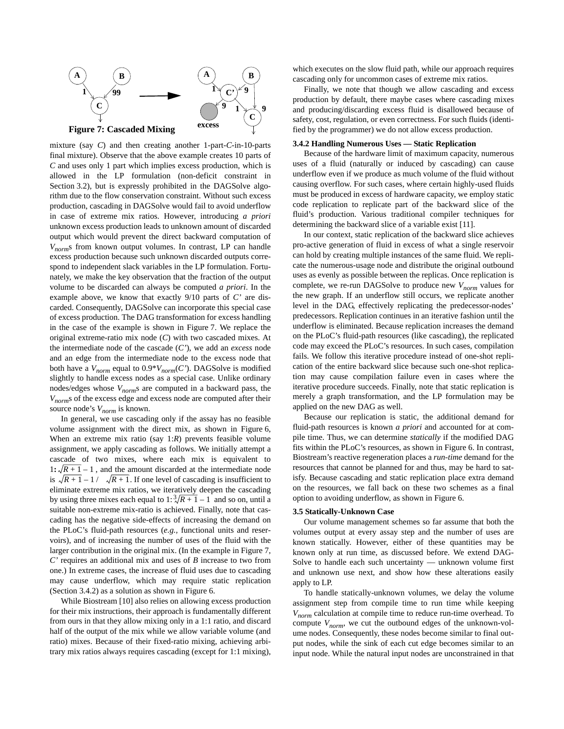

mixture (say *C*) and then creating another 1-part-*C*-in-10-parts final mixture). Observe that the above example creates 10 parts of *C* and uses only 1 part which implies excess production, which is allowed in the LP formulation (non-deficit constraint in Section 3.2), but is expressly prohibited in the DAGSolve algorithm due to the flow conservation constraint. Without such excess production, cascading in DAGSolve would fail to avoid underflow in case of extreme mix ratios. However, introducing *a priori* unknown excess production leads to unknown amount of discarded output which would prevent the direct backward computation of *Vnorm*s from known output volumes. In contrast, LP can handle excess production because such unknown discarded outputs correspond to independent slack variables in the LP formulation. Fortunately, we make the key observation that the fraction of the output volume to be discarded can always be computed *a priori*. In the example above, we know that exactly 9/10 parts of *C'* are discarded. Consequently, DAGSolve can incorporate this special case of excess production. The DAG transformation for excess handling in the case of the example is shown in Figure 7. We replace the original extreme-ratio mix node (*C*) with two cascaded mixes. At the intermediate node of the cascade (*C'*), we add an *excess* node and an edge from the intermediate node to the excess node that both have a  $V_{norm}$  equal to  $0.9*V_{norm}(C')$ . DAGSolve is modified slightly to handle excess nodes as a special case. Unlike ordinary nodes/edges whose *Vnorm*s are computed in a backward pass, the *Vnorm*s of the excess edge and excess node are computed after their source node's  $V_{norm}$  is known.

In general, we use cascading only if the assay has no feasible volume assignment with the direct mix, as shown in Figure 6, When an extreme mix ratio (say 1:*R*) prevents feasible volume assignment, we apply cascading as follows. We initially attempt a cascade of two mixes, where each mix is equivalent to 1:  $\sqrt{R}$  + 1 – 1, and the amount discarded at the intermediate node is  $\sqrt{R+1-1}$  /  $\sqrt{R+1}$ . If one level of cascading is insufficient to eliminate extreme mix ratios, we iteratively deepen the cascading by using three mixes each equal to  $1:\frac{3}{R}+1-1$  and so on, until a suitable non-extreme mix-ratio is achieved. Finally, note that cascading has the negative side-effects of increasing the demand on the PLoC's fluid-path resources (*e.g.,* functional units and reservoirs), and of increasing the number of uses of the fluid with the larger contribution in the original mix. (In the example in Figure 7, *C'* requires an additional mix and uses of *B* increase to two from one.) In extreme cases, the increase of fluid uses due to cascading may cause underflow, which may require static replication (Section 3.4.2) as a solution as shown in Figure 6.

While Biostream [10] also relies on allowing excess production for their mix instructions, their approach is fundamentally different from ours in that they allow mixing only in a 1:1 ratio, and discard half of the output of the mix while we allow variable volume (and ratio) mixes. Because of their fixed-ratio mixing, achieving arbitrary mix ratios always requires cascading (except for 1:1 mixing), which executes on the slow fluid path, while our approach requires cascading only for uncommon cases of extreme mix ratios.

Finally, we note that though we allow cascading and excess production by default, there maybe cases where cascading mixes and producing/discarding excess fluid is disallowed because of safety, cost, regulation, or even correctness. For such fluids (identified by the programmer) we do not allow excess production.

#### **3.4.2 Handling Numerous Uses — Static Replication**

Because of the hardware limit of maximum capacity, numerous uses of a fluid (naturally or induced by cascading) can cause underflow even if we produce as much volume of the fluid without causing overflow. For such cases, where certain highly-used fluids must be produced in excess of hardware capacity, we employ static code replication to replicate part of the backward slice of the fluid's production. Various traditional compiler techniques for determining the backward slice of a variable exist [11].

In our context, static replication of the backward slice achieves pro-active generation of fluid in excess of what a single reservoir can hold by creating multiple instances of the same fluid. We replicate the numerous-usage node and distribute the original outbound uses as evenly as possible between the replicas. Once replication is complete, we re-run DAGSolve to produce new *Vnorm* values for the new graph. If an underflow still occurs, we replicate another level in the DAG, effectively replicating the predecessor-nodes' predecessors. Replication continues in an iterative fashion until the underflow is eliminated. Because replication increases the demand on the PLoC's fluid-path resources (like cascading), the replicated code may exceed the PLoC's resources. In such cases, compilation fails. We follow this iterative procedure instead of one-shot replication of the entire backward slice because such one-shot replication may cause compilation failure even in cases where the iterative procedure succeeds. Finally, note that static replication is merely a graph transformation, and the LP formulation may be applied on the new DAG as well.

Because our replication is static, the additional demand for fluid-path resources is known *a priori* and accounted for at compile time. Thus, we can determine *statically* if the modified DAG fits within the PLoC's resources, as shown in Figure 6. In contrast, Biostream's reactive regeneration places a *run-time* demand for the resources that cannot be planned for and thus, may be hard to satisfy. Because cascading and static replication place extra demand on the resources, we fall back on these two schemes as a final option to avoiding underflow, as shown in Figure 6.

#### **3.5 Statically-Unknown Case**

Our volume management schemes so far assume that both the volumes output at every assay step and the number of uses are known statically. However, either of these quantities may be known only at run time, as discussed before. We extend DAG-Solve to handle each such uncertainty — unknown volume first and unknown use next, and show how these alterations easily apply to LP.

To handle statically-unknown volumes, we delay the volume assignment step from compile time to run time while keeping *Vnorm* calculation at compile time to reduce run-time overhead. To compute  $V_{norm}$ , we cut the outbound edges of the unknown-volume nodes. Consequently, these nodes become similar to final output nodes, while the sink of each cut edge becomes similar to an input node. While the natural input nodes are unconstrained in that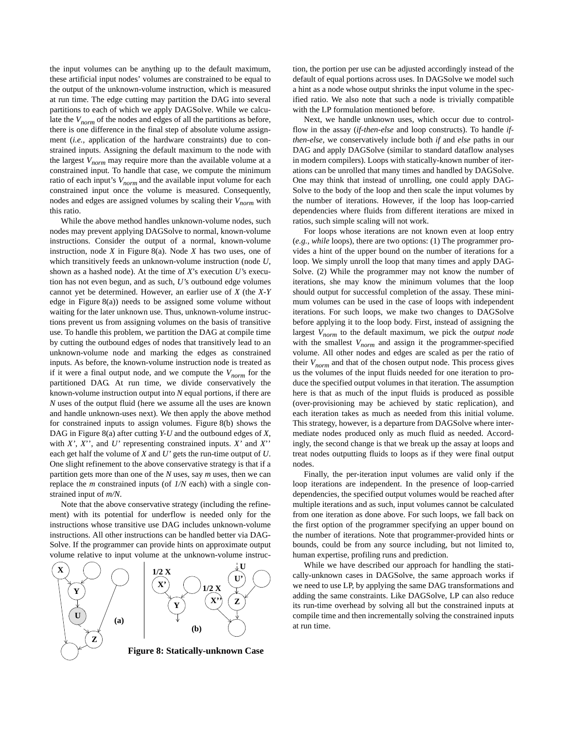the input volumes can be anything up to the default maximum, these artificial input nodes' volumes are constrained to be equal to the output of the unknown-volume instruction, which is measured at run time. The edge cutting may partition the DAG into several partitions to each of which we apply DAGSolve. While we calculate the *Vnorm* of the nodes and edges of all the partitions as before, there is one difference in the final step of absolute volume assignment (*i.e.,* application of the hardware constraints) due to constrained inputs. Assigning the default maximum to the node with the largest  $V_{norm}$  may require more than the available volume at a constrained input. To handle that case, we compute the minimum ratio of each input's  $V_{norm}$  and the available input volume for each constrained input once the volume is measured. Consequently, nodes and edges are assigned volumes by scaling their *Vnorm* with this ratio.

While the above method handles unknown-volume nodes, such nodes may prevent applying DAGSolve to normal, known-volume instructions. Consider the output of a normal, known-volume instruction, node *X* in Figure 8(a). Node *X* has two uses, one of which transitively feeds an unknown-volume instruction (node *U*, shown as a hashed node). At the time of *X*'s execution *U'*s execution has not even begun, and as such, *U'*s outbound edge volumes cannot yet be determined. However, an earlier use of *X* (the *X-Y* edge in Figure 8(a)) needs to be assigned some volume without waiting for the later unknown use. Thus, unknown-volume instructions prevent us from assigning volumes on the basis of transitive use. To handle this problem, we partition the DAG at compile time by cutting the outbound edges of nodes that transitively lead to an unknown-volume node and marking the edges as constrained inputs. As before, the known-volume instruction node is treated as if it were a final output node, and we compute the  $V_{norm}$  for the partitioned DAG. At run time, we divide conservatively the known-volume instruction output into *N* equal portions, if there are *N* uses of the output fluid (here we assume all the uses are known and handle unknown-uses next). We then apply the above method for constrained inputs to assign volumes. Figure 8(b) shows the DAG in Figure 8(a) after cutting *Y-U* and the outbound edges of *X*, with *X'*, *X*'', and *U'* representing constrained inputs. *X'* and *X*'' each get half the volume of *X* and *U'* gets the run-time output of *U*. One slight refinement to the above conservative strategy is that if a partition gets more than one of the *N* uses, say *m* uses, then we can replace the *m* constrained inputs (of *1/N* each) with a single constrained input of *m/N*.

Note that the above conservative strategy (including the refinement) with its potential for underflow is needed only for the instructions whose transitive use DAG includes unknown-volume instructions. All other instructions can be handled better via DAG-Solve. If the programmer can provide hints on approximate output volume relative to input volume at the unknown-volume instruc-



**Figure 8: Statically-unknown Case**

tion, the portion per use can be adjusted accordingly instead of the default of equal portions across uses. In DAGSolve we model such a hint as a node whose output shrinks the input volume in the specified ratio. We also note that such a node is trivially compatible with the LP formulation mentioned before.

Next, we handle unknown uses, which occur due to controlflow in the assay (*if-then-else* and loop constructs). To handle *ifthen-else*, we conservatively include both *if* and *else* paths in our DAG and apply DAGSolve (similar to standard dataflow analyses in modern compilers). Loops with statically-known number of iterations can be unrolled that many times and handled by DAGSolve. One may think that instead of unrolling, one could apply DAG-Solve to the body of the loop and then scale the input volumes by the number of iterations. However, if the loop has loop-carried dependencies where fluids from different iterations are mixed in ratios, such simple scaling will not work.

For loops whose iterations are not known even at loop entry (*e.g., while* loops), there are two options: (1) The programmer provides a hint of the upper bound on the number of iterations for a loop. We simply unroll the loop that many times and apply DAG-Solve. (2) While the programmer may not know the number of iterations, she may know the minimum volumes that the loop should output for successful completion of the assay. These minimum volumes can be used in the case of loops with independent iterations. For such loops, we make two changes to DAGSolve before applying it to the loop body. First, instead of assigning the largest *Vnorm* to the default maximum, we pick the *output node* with the smallest  $V_{norm}$  and assign it the programmer-specified volume. All other nodes and edges are scaled as per the ratio of their *Vnorm* and that of the chosen output node. This process gives us the volumes of the input fluids needed for one iteration to produce the specified output volumes in that iteration. The assumption here is that as much of the input fluids is produced as possible (over-provisioning may be achieved by static replication), and each iteration takes as much as needed from this initial volume. This strategy, however, is a departure from DAGSolve where intermediate nodes produced only as much fluid as needed. Accordingly, the second change is that we break up the assay at loops and treat nodes outputting fluids to loops as if they were final output nodes.

Finally, the per-iteration input volumes are valid only if the loop iterations are independent. In the presence of loop-carried dependencies, the specified output volumes would be reached after multiple iterations and as such, input volumes cannot be calculated from one iteration as done above. For such loops, we fall back on the first option of the programmer specifying an upper bound on the number of iterations. Note that programmer-provided hints or bounds, could be from any source including, but not limited to, human expertise, profiling runs and prediction.

While we have described our approach for handling the statically-unknown cases in DAGSolve, the same approach works if we need to use LP, by applying the same DAG transformations and adding the same constraints. Like DAGSolve, LP can also reduce its run-time overhead by solving all but the constrained inputs at compile time and then incrementally solving the constrained inputs at run time.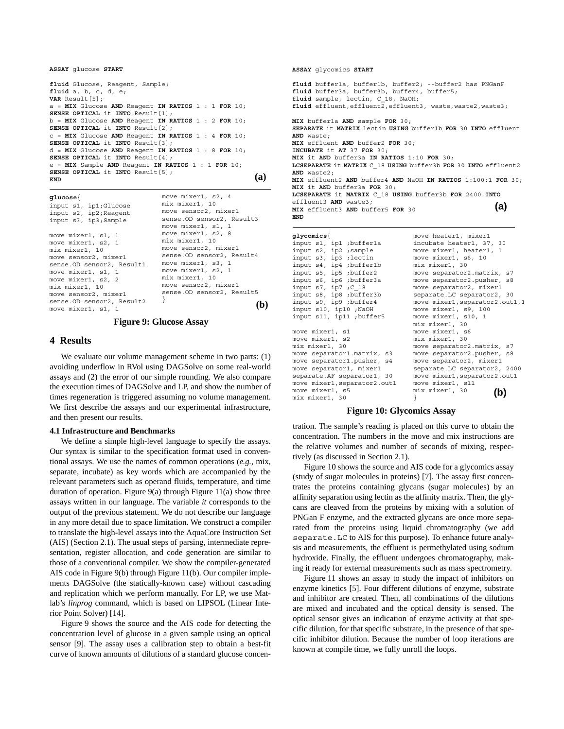**ASSAY** glucose **START**

**fluid** Glucose, Reagent, Sample; **fluid** a, b, c, d, e; **VAR** Result[5]; a = **MIX** Glucose **AND** Reagent **IN RATIOS** 1 : 1 **FOR** 10; **SENSE OPTICAL** it **INTO** Result[1]; b = **MIX** Glucose **AND** Reagent **IN RATIOS** 1 : 2 **FOR** 10; **SENSE OPTICAL** it **INTO** Result[2]; c = **MIX** Glucose **AND** Reagent **IN RATIOS** 1 : 4 **FOR** 10; **SENSE OPTICAL** it **INTO** Result[3]; d = **MIX** Glucose **AND** Reagent **IN RATIOS** 1 : 8 **FOR** 10; **SENSE OPTICAL** it **INTO** Result[4]; e = **MIX** Sample **AND** Reagent **IN RATIOS** 1 : 1 **FOR** 10; **SENSE OPTICAL** it **INTO** Result[5]; **END (a)**

```
glucose{
input s1, ip1;Glucose
input s2, ip2;Reagent
input s3, ip3;Sample
move mixer1, s1, 1
move mixer1, s2, 1
mix mixer1, 10
move sensor2, mixer1
sense.OD sensor2, Result1
move mixer1, s1, 1
move mixer1, s2, 2
mix mixer1, 10
move sensor2, mixer1
sense.OD sensor2, Result2
move mixer1, s1, 1
                              move mixer1, s2, 4
                              mix mixer1, 10
                              move sensor2, mixer1
                              sense.OD sensor2, Result3
                              move mixer1, s1, 1
                              move mixer1, s2, 8
                             mix mixer1, 10
                              move sensor2, mixer1
                              sense.OD sensor2, Result4
                              move mixer1, s3, 1
                              move mixer1, s2, 1
                              mix mixer1, 10
                              move sensor2, mixer1
                              sense.OD sensor2, Result5
                              }
                                                       (b)
```
#### **Figure 9: Glucose Assay**

# **4 Results**

We evaluate our volume management scheme in two parts: (1) avoiding underflow in RVol using DAGSolve on some real-world assays and (2) the error of our simple rounding. We also compare the execution times of DAGSolve and LP, and show the number of times regeneration is triggered assuming no volume management. We first describe the assays and our experimental infrastructure, and then present our results.

#### **4.1 Infrastructure and Benchmarks**

We define a simple high-level language to specify the assays. Our syntax is similar to the specification format used in conventional assays. We use the names of common operations (*e.g.,* mix, separate, incubate) as key words which are accompanied by the relevant parameters such as operand fluids, temperature, and time duration of operation. Figure 9(a) through Figure 11(a) show three assays written in our language. The variable *it* corresponds to the output of the previous statement. We do not describe our language in any more detail due to space limitation. We construct a compiler to translate the high-level assays into the AquaCore Instruction Set (AIS) (Section 2.1). The usual steps of parsing, intermediate representation, register allocation, and code generation are similar to those of a conventional compiler. We show the compiler-generated AIS code in Figure 9(b) through Figure 11(b). Our compiler implements DAGSolve (the statically-known case) without cascading and replication which we perform manually. For LP, we use Matlab's *linprog* command, which is based on LIPSOL (Linear Interior Point Solver) [14].

Figure 9 shows the source and the AIS code for detecting the concentration level of glucose in a given sample using an optical sensor [9]. The assay uses a calibration step to obtain a best-fit curve of known amounts of dilutions of a standard glucose concen**ASSAY** glycomics **START fluid** buffer1a, buffer1b, buffer2; --buffer2 has PNGanF **fluid** buffer3a, buffer3b, buffer4, buffer5; **fluid** sample, lectin, C\_18, NaOH; **fluid** effluent,effluent2,effluent3, waste,waste2,waste3; **MIX** buffer1a **AND** sample **FOR** 30; **SEPARATE** it **MATRIX** lectin **USING** buffer1b **FOR** 30 **INTO** effluent **AND** waste; **MIX** effluent **AND** buffer2 **FOR** 30; **INCUBATE** it **AT** 37 **FOR** 30; **MIX** it **AND** buffer3a **IN RATIOS** 1:10 **FOR** 30; **LCSEPARATE** it **MATRIX** C\_18 **USING** buffer3b **FOR** 30 **INTO** effluent2 **AND** waste2; **MIX** effluent2 **AND** buffer4 **AND** NaOH **IN RATIOS** 1:100:1 **FOR** 30; **MIX** it **AND** buffer3a **FOR** 30; **LCSEPARATE** it **MATRIX** C\_18 **USING** buffer3b **FOR** 2400 **INTO** effluent3 **AND** waste3; **MIX** effluent3 **AND** buffer5 **FOR** 30 **END (a)**

| glycomics                    | move heater1, mixer1           |
|------------------------------|--------------------------------|
| input s1, ip1 ;buffer1a      | incubate heater1, 37, 30       |
| input s2, ip2 ; sample       | move mixer1, heater1, 1        |
| input s3, ip3 ; lectin       | move mixer1, s6, 10            |
| input s4, ip4 ;buffer1b      | mix mixer1, 30                 |
| input s5, ip5 ;buffer2       | move separator2.matrix, s7     |
| input s6, ip6 ;buffer3a      | move separator2.pusher, s8     |
| input $s7$ , ip7 ; $C$ 18    | move separator2, mixer1        |
| input s8, ip8 ;buffer3b      | separate.LC separator2, 30     |
| input s9, ip9 ;buffer4       | move mixer1, separator2.out1,1 |
| input s10, ip10 ;NaOH        | move mixer1, s9, 100           |
| input s11, ip11 ;buffer5     | move mixer1, s10, 1            |
|                              | mix mixer1, 30                 |
| move mixer1, s1              | move mixer1, s6                |
| move mixer1, s2              | mix mixer1, 30                 |
| mix mixer1, 30               | move separator2.matrix, s7     |
| move separator1.matrix, s3   | move separator2.pusher, s8     |
| move separator1.pusher, s4   | move separator2, mixer1        |
| move separator1, mixer1      | separate.LC separator2, 2400   |
| separate.AF separator1, 30   | move mixer1, separator2.out1   |
| move mixer1, separator2.out1 | move mixer1, s11               |
| move mixer1, s5              | mix mixer1, 30                 |
| mix mixer1, 30               |                                |

# **Figure 10: Glycomics Assay**

tration. The sample's reading is placed on this curve to obtain the concentration. The numbers in the move and mix instructions are the relative volumes and number of seconds of mixing, respectively (as discussed in Section 2.1).

Figure 10 shows the source and AIS code for a glycomics assay (study of sugar molecules in proteins) [7]. The assay first concentrates the proteins containing glycans (sugar molecules) by an affinity separation using lectin as the affinity matrix. Then, the glycans are cleaved from the proteins by mixing with a solution of PNGan F enzyme, and the extracted glycans are once more separated from the proteins using liquid chromatography (we add separate. LC to AIS for this purpose). To enhance future analysis and measurements, the effluent is permethylated using sodium hydroxide. Finally, the effluent undergoes chromatography, making it ready for external measurements such as mass spectrometry.

Figure 11 shows an assay to study the impact of inhibitors on enzyme kinetics [5]. Four different dilutions of enzyme, substrate and inhibitor are created. Then, all combinations of the dilutions are mixed and incubated and the optical density is sensed. The optical sensor gives an indication of enzyme activity at that specific dilution, for that specific substrate, in the presence of that specific inhibitor dilution. Because the number of loop iterations are known at compile time, we fully unroll the loops.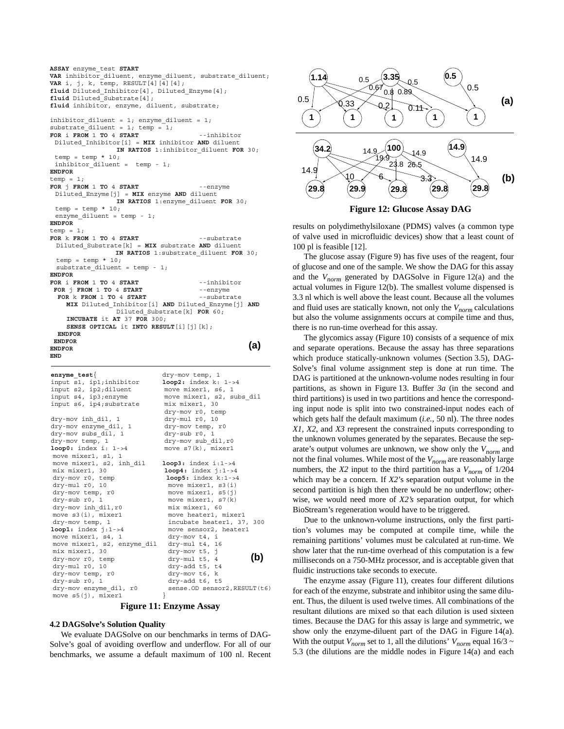```
ASSAY enzyme_test START
VAR inhibitor_diluent, enzyme_diluent, substrate_diluent;
VAR i, j, k, \bar{t}emp, RESULT[4][4][4];
fluid Diluted_Inhibitor[4], Diluted_Enzyme[4];
fluid Diluted_Substrate[4];
fluid inhibitor, enzyme, diluent, substrate;
inhibitor_diluent = 1; enzyme_diluent = 1;
substrate_diluent = 1; temp = 1;
FOR i FROM 1 TO 4 START --inhibitor
 Diluted_Inhibitor[i] = MIX inhibitor AND diluent 
                IN RATIOS 1:inhibitor_diluent FOR 30;
 temp = temp * 10;inhibitor_diluent = temp - 1;
ENDFOR
temp = 1;FOR j FROM 1 TO 4 START --enzyme
 Diluted_Enzyme[j] = MIX enzyme AND diluent 
                IN RATIOS 1:enzyme_diluent FOR 30;
 temp = temp * 10;enzyme_diluent = temp - 1;
ENDFOR
temp = 1;
FOR k FROM 1 TO 4 START --substrate
 Diluted_Substrate[k] = MIX substrate AND diluent 
             IN RATIOS 1:substrate_diluent FOR 30;
 temp = tempsubstrate_diluent = temp - 1;
ENDFOR
FOR i FROM 1 TO 4 START --inhibitor
FOR j FROM 1 TO 4 START --enzyme
 FOR k FROM 1 TO 4 START
   MIX Diluted_Inhibitor[i] AND Diluted_Enzyme[j] AND
                Diluted_Substrate[k] FOR 60;
    INCUBATE it AT 37 FOR 300;
    SENSE OPTICAL it INTO RESULT[i][j][k];
  ENDFOR
ENDFOR
ENDFOR
END
                                                 (a)
```

```
enzyme_test{
input s1, ip1;inhibitor
input s2, ip2;diluent
input s4, ip3;enzyme
input s6, ip4;substrate
dry-mov inh_dil, 1
dry-mov enzyme_dil, 1
dry-mov subs_dil, 1
dry-mov temp, 1
loop0: index i: 1->4
move mixer1, s1, 1
move mixer1, s2, inh_dil
mix mixer1, 30
dry-mov r0, temp
dry-mul r0, 10
dry-mov temp, r0
dry-sub r0, 1
dry-mov inh_dil,r0
move s3(i), mixer1
dry-mov temp, 1
loop1: index j:1->4
move mixer1, s4, 1
move mixer1, s2, enzyme_dil
mix mixer1, 30
dry-mov r0, temp
dry-mul r0, 10
dry-mov temp, r0
dry-sub r0, 1
dry-mov enzyme_dil, r0
move s5(j), mixer1
                             dry-mov temp, 1
                             loop2: index k: 1->4
                              move mixer1, s6, 1
                              move mixer1, s2, subs_dil
                              mix mixer1, 30
                              dry-mov r0, temp
                              dry-mul r0, 10
                              dry-mov temp, r0
                              dry-sub r0, 1
                              dry-mov sub_dil,r0
                              move s7(k), mixer1
                             loop3: index i:1->4
                              loop4: index j:1->4
                              loop5: index k:1->4
                               move mixer1, s3(i)
                               move mixer1, s5(j)
                               move mixer1, s7(k)
                               mix mixer1, 60
                               move heater1, mixer1
                               incubate heater1, 37, 300
                               move sensor2, heater1
                               dry-mov t4, i
                               dry-mul t4, 16
                               dry-mov t5, j
                               dry-mul t5, 4
                               dry-add t5, t4
                               dry-mov t6, k
                               dry-add t6, t5
                               sense.OD sensor2, RESULT(t6)
                              }
                                                     (b)
```
#### **Figure 11: Enzyme Assay**

#### **4.2 DAGSolve's Solution Quality**

We evaluate DAGSolve on our benchmarks in terms of DAG-Solve's goal of avoiding overflow and underflow. For all of our benchmarks, we assume a default maximum of 100 nl. Recent



results on polydimethylsiloxane (PDMS) valves (a common type of valve used in microfluidic devices) show that a least count of 100 pl is feasible [12].

The glucose assay (Figure 9) has five uses of the reagent, four of glucose and one of the sample. We show the DAG for this assay and the *Vnorm* generated by DAGSolve in Figure 12(a) and the actual volumes in Figure 12(b). The smallest volume dispensed is 3.3 nl which is well above the least count. Because all the volumes and fluid uses are statically known, not only the  $V_{norm}$  calculations but also the volume assignments occurs at compile time and thus, there is no run-time overhead for this assay.

The glycomics assay (Figure 10) consists of a sequence of mix and separate operations. Because the assay has three separations which produce statically-unknown volumes (Section 3.5), DAG-Solve's final volume assignment step is done at run time. The DAG is partitioned at the unknown-volume nodes resulting in four partitions, as shown in Figure 13. Buffer *3a* (in the second and third partitions) is used in two partitions and hence the corresponding input node is split into two constrained-input nodes each of which gets half the default maximum (*i.e.,* 50 nl). The three nodes *X1*, *X2*, and *X3* represent the constrained inputs corresponding to the unknown volumes generated by the separates. Because the separate's output volumes are unknown, we show only the  $V_{norm}$  and not the final volumes. While most of the  $V_{norm}$  are reasonably large numbers, the  $X2$  input to the third partition has a  $V_{norm}$  of 1/204 which may be a concern. If *X2*'s separation output volume in the second partition is high then there would be no underflow; otherwise, we would need more of *X2's* separation output*,* for which BioStream's regeneration would have to be triggered.

Due to the unknown-volume instructions, only the first partition's volumes may be computed at compile time, while the remaining partitions' volumes must be calculated at run-time. We show later that the run-time overhead of this computation is a few milliseconds on a 750-MHz processor, and is acceptable given that fluidic instructions take seconds to execute.

The enzyme assay (Figure 11), creates four different dilutions for each of the enzyme, substrate and inhibitor using the same diluent. Thus, the diluent is used twelve times. All combinations of the resultant dilutions are mixed so that each dilution is used sixteen times. Because the DAG for this assay is large and symmetric, we show only the enzyme-diluent part of the DAG in Figure 14(a). With the output  $V_{norm}$  set to 1, all the dilutions'  $V_{norm}$  equal 16/3 ~ 5.3 (the dilutions are the middle nodes in Figure 14(a) and each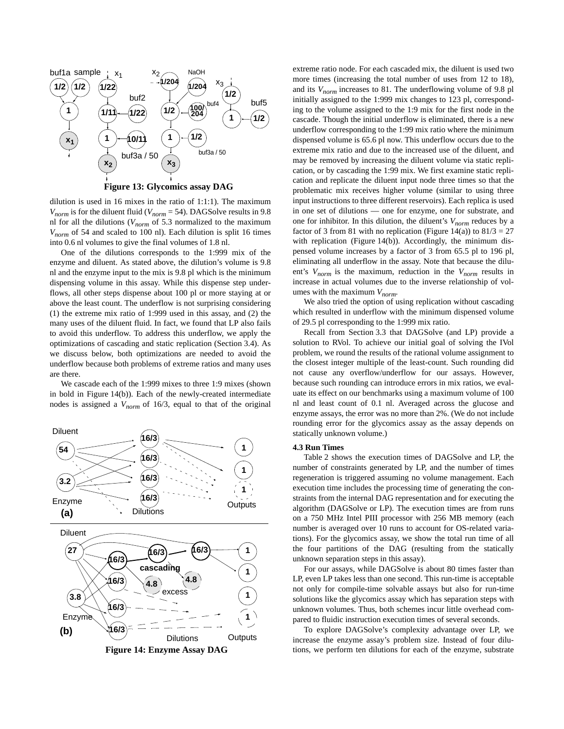

**Figure 13: Glycomics assay DAG**

dilution is used in 16 mixes in the ratio of 1:1:1). The maximum  $V_{norm}$  is for the diluent fluid ( $V_{norm} = 54$ ). DAGSolve results in 9.8 nl for all the dilutions ( $V_{norm}$  of 5.3 normalized to the maximum *Vnorm* of 54 and scaled to 100 nl). Each dilution is split 16 times into 0.6 nl volumes to give the final volumes of 1.8 nl.

One of the dilutions corresponds to the 1:999 mix of the enzyme and diluent. As stated above, the dilution's volume is 9.8 nl and the enzyme input to the mix is 9.8 pl which is the minimum dispensing volume in this assay. While this dispense step underflows, all other steps dispense about 100 pl or more staying at or above the least count. The underflow is not surprising considering (1) the extreme mix ratio of 1:999 used in this assay, and (2) the many uses of the diluent fluid. In fact, we found that LP also fails to avoid this underflow. To address this underflow, we apply the optimizations of cascading and static replication (Section 3.4). As we discuss below, both optimizations are needed to avoid the underflow because both problems of extreme ratios and many uses are there.

We cascade each of the 1:999 mixes to three 1:9 mixes (shown in bold in Figure 14(b)). Each of the newly-created intermediate nodes is assigned a *Vnorm* of 16/3, equal to that of the original



extreme ratio node. For each cascaded mix, the diluent is used two more times (increasing the total number of uses from 12 to 18), and its *Vnorm* increases to 81. The underflowing volume of 9.8 pl initially assigned to the 1:999 mix changes to 123 pl, corresponding to the volume assigned to the 1:9 mix for the first node in the cascade. Though the initial underflow is eliminated, there is a new underflow corresponding to the 1:99 mix ratio where the minimum dispensed volume is 65.6 pl now. This underflow occurs due to the extreme mix ratio and due to the increased use of the diluent, and may be removed by increasing the diluent volume via static replication, or by cascading the 1:99 mix. We first examine static replication and replicate the diluent input node three times so that the problematic mix receives higher volume (similar to using three input instructions to three different reservoirs). Each replica is used in one set of dilutions — one for enzyme, one for substrate, and one for inhibitor. In this dilution, the diluent's *Vnorm* reduces by a factor of 3 from 81 with no replication (Figure 14(a)) to  $81/3 = 27$ with replication (Figure 14(b)). Accordingly, the minimum dispensed volume increases by a factor of 3 from 65.5 pl to 196 pl, eliminating all underflow in the assay. Note that because the diluent's  $V_{norm}$  is the maximum, reduction in the  $V_{norm}$  results in increase in actual volumes due to the inverse relationship of volumes with the maximum  $V_{norm}$ .

We also tried the option of using replication without cascading which resulted in underflow with the minimum dispensed volume of 29.5 pl corresponding to the 1:999 mix ratio.

Recall from Section 3.3 that DAGSolve (and LP) provide a solution to RVol. To achieve our initial goal of solving the IVol problem, we round the results of the rational volume assignment to the closest integer multiple of the least-count. Such rounding did not cause any overflow/underflow for our assays. However, because such rounding can introduce errors in mix ratios, we evaluate its effect on our benchmarks using a maximum volume of 100 nl and least count of 0.1 nl. Averaged across the glucose and enzyme assays, the error was no more than 2%. (We do not include rounding error for the glycomics assay as the assay depends on statically unknown volume.)

#### **4.3 Run Times**

Table 2 shows the execution times of DAGSolve and LP, the number of constraints generated by LP, and the number of times regeneration is triggered assuming no volume management. Each execution time includes the processing time of generating the constraints from the internal DAG representation and for executing the algorithm (DAGSolve or LP). The execution times are from runs on a 750 MHz Intel PIII processor with 256 MB memory (each number is averaged over 10 runs to account for OS-related variations). For the glycomics assay, we show the total run time of all the four partitions of the DAG (resulting from the statically unknown separation steps in this assay).

For our assays, while DAGSolve is about 80 times faster than LP, even LP takes less than one second. This run-time is acceptable not only for compile-time solvable assays but also for run-time solutions like the glycomics assay which has separation steps with unknown volumes. Thus, both schemes incur little overhead compared to fluidic instruction execution times of several seconds.

To explore DAGSolve's complexity advantage over LP, we increase the enzyme assay's problem size. Instead of four dilutions, we perform ten dilutions for each of the enzyme, substrate